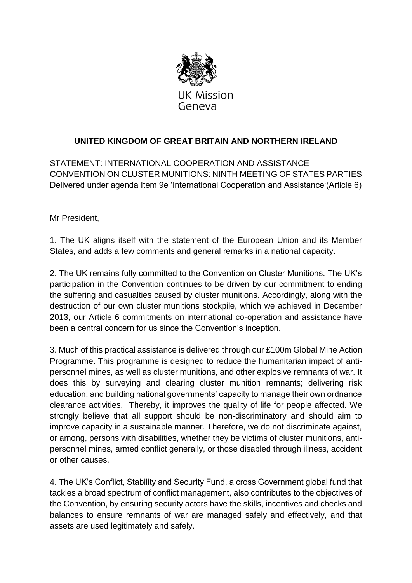

## **UNITED KINGDOM OF GREAT BRITAIN AND NORTHERN IRELAND**

STATEMENT: INTERNATIONAL COOPERATION AND ASSISTANCE CONVENTION ON CLUSTER MUNITIONS: NINTH MEETING OF STATES PARTIES Delivered under agenda Item 9e 'International Cooperation and Assistance'(Article 6)

Mr President,

1. The UK aligns itself with the statement of the European Union and its Member States, and adds a few comments and general remarks in a national capacity.

2. The UK remains fully committed to the Convention on Cluster Munitions. The UK's participation in the Convention continues to be driven by our commitment to ending the suffering and casualties caused by cluster munitions. Accordingly, along with the destruction of our own cluster munitions stockpile, which we achieved in December 2013, our Article 6 commitments on international co-operation and assistance have been a central concern for us since the Convention's inception.

3. Much of this practical assistance is delivered through our £100m Global Mine Action Programme. This programme is designed to reduce the humanitarian impact of antipersonnel mines, as well as cluster munitions, and other explosive remnants of war. It does this by surveying and clearing cluster munition remnants; delivering risk education; and building national governments' capacity to manage their own ordnance clearance activities. Thereby, it improves the quality of life for people affected. We strongly believe that all support should be non-discriminatory and should aim to improve capacity in a sustainable manner. Therefore, we do not discriminate against, or among, persons with disabilities, whether they be victims of cluster munitions, antipersonnel mines, armed conflict generally, or those disabled through illness, accident or other causes.

4. The UK's Conflict, Stability and Security Fund, a cross Government global fund that tackles a broad spectrum of conflict management, also contributes to the objectives of the Convention, by ensuring security actors have the skills, incentives and checks and balances to ensure remnants of war are managed safely and effectively, and that assets are used legitimately and safely.